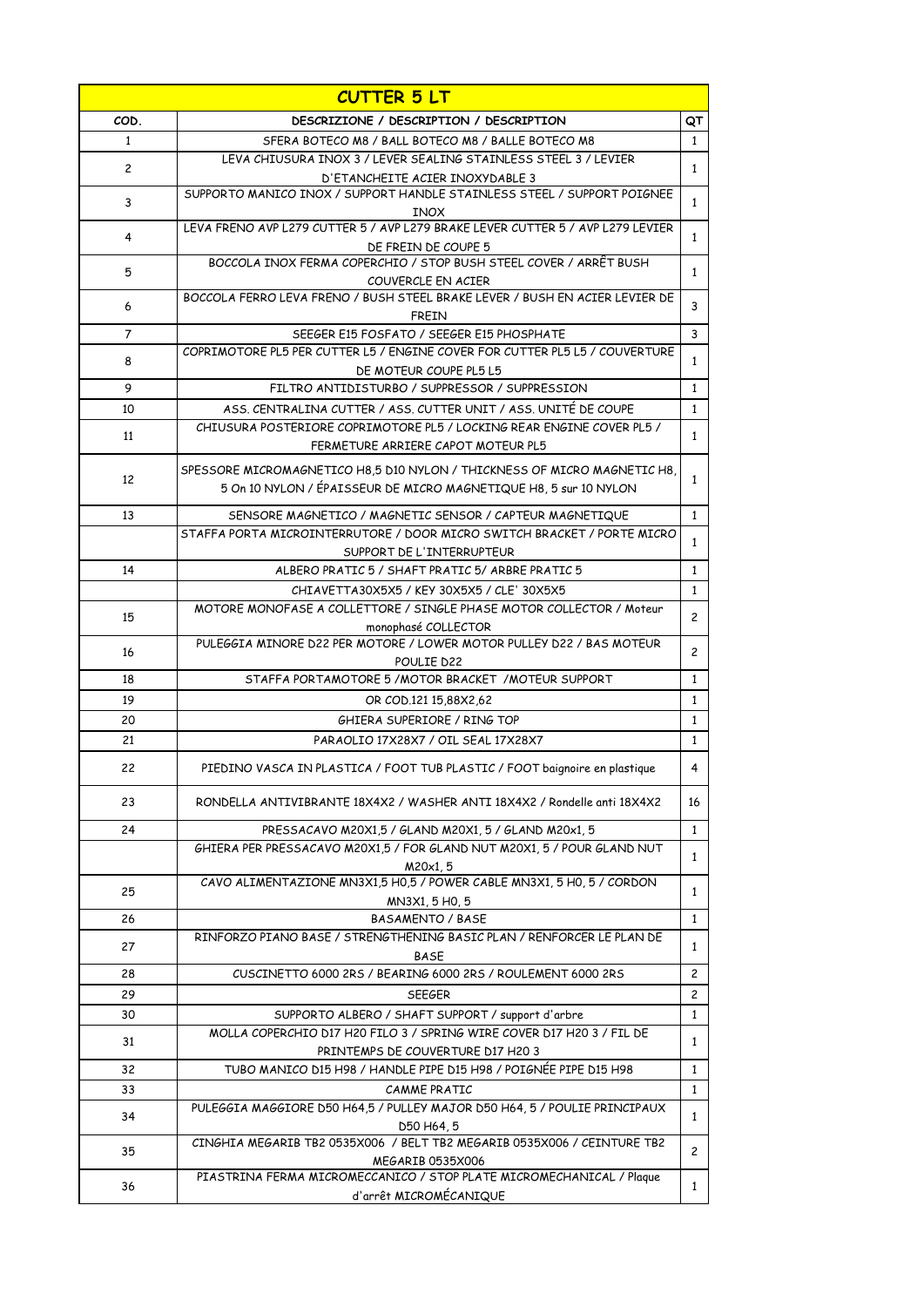| COD.<br>DESCRIZIONE / DESCRIPTION / DESCRIPTION<br>$\mathbf{1}$<br>SFERA BOTECO M8 / BALL BOTECO M8 / BALLE BOTECO M8<br>$\mathbf{1}$<br>LEVA CHIUSURA INOX 3 / LEVER SEALING STAINLESS STEEL 3 / LEVIER<br>$\overline{c}$<br>$\mathbf{1}$<br>D'ETANCHEITE ACIER INOXYDABLE 3<br>SUPPORTO MANICO INOX / SUPPORT HANDLE STAINLESS STEEL / SUPPORT POIGNEE<br>3<br>$\mathbf{1}$<br><b>INOX</b><br>LEVA FRENO AVP L279 CUTTER 5 / AVP L279 BRAKE LEVER CUTTER 5 / AVP L279 LEVIER<br>4<br>$\mathbf{1}$<br>DE FREIN DE COUPE 5<br>BOCCOLA INOX FERMA COPERCHIO / STOP BUSH STEEL COVER / ARRÊT BUSH<br>5<br>$\mathbf{1}$<br>COUVERCLE EN ACIER<br>BOCCOLA FERRO LEVA FRENO / BUSH STEEL BRAKE LEVER / BUSH EN ACIER LEVIER DE<br>3<br>6<br><b>FREIN</b><br>3<br>$\overline{7}$<br>SEEGER E15 FOSFATO / SEEGER E15 PHOSPHATE<br>COPRIMOTORE PL5 PER CUTTER L5 / ENGINE COVER FOR CUTTER PL5 L5 / COUVERTURE<br>8<br>$\mathbf{1}$<br>DE MOTEUR COUPE PL5 L5<br>9<br>$\mathbf{1}$<br>FILTRO ANTIDISTURBO / SUPPRESSOR / SUPPRESSION<br>ASS. CENTRALINA CUTTER / ASS. CUTTER UNIT / ASS. UNITÉ DE COUPE<br>10<br>$\mathbf{1}$<br>CHIUSURA POSTERIORE COPRIMOTORE PL5 / LOCKING REAR ENGINE COVER PL5 /<br>11<br>$\mathbf{1}$<br>FERMETURE ARRIERE CAPOT MOTEUR PL5<br>SPESSORE MICROMAGNETICO H8,5 D10 NYLON / THICKNESS OF MICRO MAGNETIC H8,<br>12<br>$\mathbf{1}$<br>5 On 10 NYLON / ÉPAISSEUR DE MICRO MAGNETIQUE H8, 5 sur 10 NYLON<br>13<br>$\mathbf{1}$<br>SENSORE MAGNETICO / MAGNETIC SENSOR / CAPTEUR MAGNETIQUE<br>STAFFA PORTA MICROINTERRUTORE / DOOR MICRO SWITCH BRACKET / PORTE MICRO<br>$\mathbf{1}$<br>SUPPORT DE L'INTERRUPTEUR<br>14<br>ALBERO PRATIC 5 / SHAFT PRATIC 5/ ARBRE PRATIC 5<br>$\mathbf{1}$<br>CHIAVETTA30X5X5 / KEY 30X5X5 / CLE' 30X5X5<br>$\mathbf{1}$<br>MOTORE MONOFASE A COLLETTORE / SINGLE PHASE MOTOR COLLECTOR / Moteur<br>$\overline{c}$<br>15<br>monophasé COLLECTOR<br>PULEGGIA MINORE D22 PER MOTORE / LOWER MOTOR PULLEY D22 / BAS MOTEUR<br>$\overline{c}$<br>16<br>POULIE D22<br>STAFFA PORTAMOTORE 5 / MOTOR BRACKET / MOTEUR SUPPORT<br>$\mathbf{1}$<br>18<br>19<br>$\mathbf{1}$<br>OR COD.121 15,88X2,62<br>20<br>GHIERA SUPERIORE / RING TOP<br>$\mathbf{1}$<br>21<br>PARAOLIO 17X28X7 / OIL SEAL 17X28X7<br>$\mathbf{1}$<br>22<br>PIEDINO VASCA IN PLASTICA / FOOT TUB PLASTIC / FOOT baignoire en plastique<br>4<br>RONDELLA ANTIVIBRANTE 18X4X2 / WASHER ANTI 18X4X2 / Rondelle anti 18X4X2<br>23<br>16<br>$\mathbf{1}$<br>24<br>PRESSACAVO M20X1,5 / GLAND M20X1, 5 / GLAND M20x1, 5<br>GHIERA PER PRESSACAVO M20X1,5 / FOR GLAND NUT M20X1, 5 / POUR GLAND NUT<br>$\mathbf{1}$<br>M20x1, 5<br>CAVO ALIMENTAZIONE MN3X1,5 H0,5 / POWER CABLE MN3X1, 5 H0, 5 / CORDON<br>25<br>$\mathbf{1}$<br>MN3X1, 5 HO, 5<br><b>BASAMENTO / BASE</b><br>$\mathbf{1}$<br>26<br>RINFORZO PIANO BASE / STRENGTHENING BASIC PLAN / RENFORCER LE PLAN DE<br>27<br>$\mathbf{1}$<br><b>BASE</b><br>CUSCINETTO 6000 2RS / BEARING 6000 2RS / ROULEMENT 6000 2RS<br>$\overline{c}$<br>28<br>29<br>$\overline{c}$<br><b>SEEGER</b><br>SUPPORTO ALBERO / SHAFT SUPPORT / support d'arbre<br>$\mathbf{1}$<br>30<br>MOLLA COPERCHIO D17 H20 FILO 3 / SPRING WIRE COVER D17 H20 3 / FIL DE<br>31<br>$\mathbf{1}$<br>PRINTEMPS DE COUVERTURE D17 H20 3<br>TUBO MANICO D15 H98 / HANDLE PIPE D15 H98 / POIGNÉE PIPE D15 H98<br>$\mathbf{1}$<br>32<br>33<br>CAMME PRATIC<br>$\mathbf{1}$<br>PULEGGIA MAGGIORE D50 H64,5 / PULLEY MAJOR D50 H64, 5 / POULIE PRINCIPAUX<br>34<br>$\mathbf{1}$<br>D50 H64, 5<br>CINGHIA MEGARIB TB2 0535X006 / BELT TB2 MEGARIB 0535X006 / CEINTURE TB2<br>$\overline{c}$<br>35<br>MEGARIB 0535X006<br>PIASTRINA FERMA MICROMECCANICO / STOP PLATE MICROMECHANICAL / Plaque<br>36<br>$\mathbf{1}$<br>d'arrêt MICROMÉCANIQUE | <b>CUTTER 5 LT</b> |  |    |  |
|------------------------------------------------------------------------------------------------------------------------------------------------------------------------------------------------------------------------------------------------------------------------------------------------------------------------------------------------------------------------------------------------------------------------------------------------------------------------------------------------------------------------------------------------------------------------------------------------------------------------------------------------------------------------------------------------------------------------------------------------------------------------------------------------------------------------------------------------------------------------------------------------------------------------------------------------------------------------------------------------------------------------------------------------------------------------------------------------------------------------------------------------------------------------------------------------------------------------------------------------------------------------------------------------------------------------------------------------------------------------------------------------------------------------------------------------------------------------------------------------------------------------------------------------------------------------------------------------------------------------------------------------------------------------------------------------------------------------------------------------------------------------------------------------------------------------------------------------------------------------------------------------------------------------------------------------------------------------------------------------------------------------------------------------------------------------------------------------------------------------------------------------------------------------------------------------------------------------------------------------------------------------------------------------------------------------------------------------------------------------------------------------------------------------------------------------------------------------------------------------------------------------------------------------------------------------------------------------------------------------------------------------------------------------------------------------------------------------------------------------------------------------------------------------------------------------------------------------------------------------------------------------------------------------------------------------------------------------------------------------------------------------------------------------------------------------------------------------------------------------------------------------------------------------------------------------------------------------------------------------------------------------------------------------------------------------------------------------------------------------------------------------------------------------------------------------------------------------------------------------------------------------------------------------------------------------------------------------------------------------------------------------------------------------------------------------------------------------------------------------------------------------------|--------------------|--|----|--|
|                                                                                                                                                                                                                                                                                                                                                                                                                                                                                                                                                                                                                                                                                                                                                                                                                                                                                                                                                                                                                                                                                                                                                                                                                                                                                                                                                                                                                                                                                                                                                                                                                                                                                                                                                                                                                                                                                                                                                                                                                                                                                                                                                                                                                                                                                                                                                                                                                                                                                                                                                                                                                                                                                                                                                                                                                                                                                                                                                                                                                                                                                                                                                                                                                                                                                                                                                                                                                                                                                                                                                                                                                                                                                                                                                                              |                    |  | QT |  |
|                                                                                                                                                                                                                                                                                                                                                                                                                                                                                                                                                                                                                                                                                                                                                                                                                                                                                                                                                                                                                                                                                                                                                                                                                                                                                                                                                                                                                                                                                                                                                                                                                                                                                                                                                                                                                                                                                                                                                                                                                                                                                                                                                                                                                                                                                                                                                                                                                                                                                                                                                                                                                                                                                                                                                                                                                                                                                                                                                                                                                                                                                                                                                                                                                                                                                                                                                                                                                                                                                                                                                                                                                                                                                                                                                                              |                    |  |    |  |
|                                                                                                                                                                                                                                                                                                                                                                                                                                                                                                                                                                                                                                                                                                                                                                                                                                                                                                                                                                                                                                                                                                                                                                                                                                                                                                                                                                                                                                                                                                                                                                                                                                                                                                                                                                                                                                                                                                                                                                                                                                                                                                                                                                                                                                                                                                                                                                                                                                                                                                                                                                                                                                                                                                                                                                                                                                                                                                                                                                                                                                                                                                                                                                                                                                                                                                                                                                                                                                                                                                                                                                                                                                                                                                                                                                              |                    |  |    |  |
|                                                                                                                                                                                                                                                                                                                                                                                                                                                                                                                                                                                                                                                                                                                                                                                                                                                                                                                                                                                                                                                                                                                                                                                                                                                                                                                                                                                                                                                                                                                                                                                                                                                                                                                                                                                                                                                                                                                                                                                                                                                                                                                                                                                                                                                                                                                                                                                                                                                                                                                                                                                                                                                                                                                                                                                                                                                                                                                                                                                                                                                                                                                                                                                                                                                                                                                                                                                                                                                                                                                                                                                                                                                                                                                                                                              |                    |  |    |  |
|                                                                                                                                                                                                                                                                                                                                                                                                                                                                                                                                                                                                                                                                                                                                                                                                                                                                                                                                                                                                                                                                                                                                                                                                                                                                                                                                                                                                                                                                                                                                                                                                                                                                                                                                                                                                                                                                                                                                                                                                                                                                                                                                                                                                                                                                                                                                                                                                                                                                                                                                                                                                                                                                                                                                                                                                                                                                                                                                                                                                                                                                                                                                                                                                                                                                                                                                                                                                                                                                                                                                                                                                                                                                                                                                                                              |                    |  |    |  |
|                                                                                                                                                                                                                                                                                                                                                                                                                                                                                                                                                                                                                                                                                                                                                                                                                                                                                                                                                                                                                                                                                                                                                                                                                                                                                                                                                                                                                                                                                                                                                                                                                                                                                                                                                                                                                                                                                                                                                                                                                                                                                                                                                                                                                                                                                                                                                                                                                                                                                                                                                                                                                                                                                                                                                                                                                                                                                                                                                                                                                                                                                                                                                                                                                                                                                                                                                                                                                                                                                                                                                                                                                                                                                                                                                                              |                    |  |    |  |
|                                                                                                                                                                                                                                                                                                                                                                                                                                                                                                                                                                                                                                                                                                                                                                                                                                                                                                                                                                                                                                                                                                                                                                                                                                                                                                                                                                                                                                                                                                                                                                                                                                                                                                                                                                                                                                                                                                                                                                                                                                                                                                                                                                                                                                                                                                                                                                                                                                                                                                                                                                                                                                                                                                                                                                                                                                                                                                                                                                                                                                                                                                                                                                                                                                                                                                                                                                                                                                                                                                                                                                                                                                                                                                                                                                              |                    |  |    |  |
|                                                                                                                                                                                                                                                                                                                                                                                                                                                                                                                                                                                                                                                                                                                                                                                                                                                                                                                                                                                                                                                                                                                                                                                                                                                                                                                                                                                                                                                                                                                                                                                                                                                                                                                                                                                                                                                                                                                                                                                                                                                                                                                                                                                                                                                                                                                                                                                                                                                                                                                                                                                                                                                                                                                                                                                                                                                                                                                                                                                                                                                                                                                                                                                                                                                                                                                                                                                                                                                                                                                                                                                                                                                                                                                                                                              |                    |  |    |  |
|                                                                                                                                                                                                                                                                                                                                                                                                                                                                                                                                                                                                                                                                                                                                                                                                                                                                                                                                                                                                                                                                                                                                                                                                                                                                                                                                                                                                                                                                                                                                                                                                                                                                                                                                                                                                                                                                                                                                                                                                                                                                                                                                                                                                                                                                                                                                                                                                                                                                                                                                                                                                                                                                                                                                                                                                                                                                                                                                                                                                                                                                                                                                                                                                                                                                                                                                                                                                                                                                                                                                                                                                                                                                                                                                                                              |                    |  |    |  |
|                                                                                                                                                                                                                                                                                                                                                                                                                                                                                                                                                                                                                                                                                                                                                                                                                                                                                                                                                                                                                                                                                                                                                                                                                                                                                                                                                                                                                                                                                                                                                                                                                                                                                                                                                                                                                                                                                                                                                                                                                                                                                                                                                                                                                                                                                                                                                                                                                                                                                                                                                                                                                                                                                                                                                                                                                                                                                                                                                                                                                                                                                                                                                                                                                                                                                                                                                                                                                                                                                                                                                                                                                                                                                                                                                                              |                    |  |    |  |
|                                                                                                                                                                                                                                                                                                                                                                                                                                                                                                                                                                                                                                                                                                                                                                                                                                                                                                                                                                                                                                                                                                                                                                                                                                                                                                                                                                                                                                                                                                                                                                                                                                                                                                                                                                                                                                                                                                                                                                                                                                                                                                                                                                                                                                                                                                                                                                                                                                                                                                                                                                                                                                                                                                                                                                                                                                                                                                                                                                                                                                                                                                                                                                                                                                                                                                                                                                                                                                                                                                                                                                                                                                                                                                                                                                              |                    |  |    |  |
|                                                                                                                                                                                                                                                                                                                                                                                                                                                                                                                                                                                                                                                                                                                                                                                                                                                                                                                                                                                                                                                                                                                                                                                                                                                                                                                                                                                                                                                                                                                                                                                                                                                                                                                                                                                                                                                                                                                                                                                                                                                                                                                                                                                                                                                                                                                                                                                                                                                                                                                                                                                                                                                                                                                                                                                                                                                                                                                                                                                                                                                                                                                                                                                                                                                                                                                                                                                                                                                                                                                                                                                                                                                                                                                                                                              |                    |  |    |  |
|                                                                                                                                                                                                                                                                                                                                                                                                                                                                                                                                                                                                                                                                                                                                                                                                                                                                                                                                                                                                                                                                                                                                                                                                                                                                                                                                                                                                                                                                                                                                                                                                                                                                                                                                                                                                                                                                                                                                                                                                                                                                                                                                                                                                                                                                                                                                                                                                                                                                                                                                                                                                                                                                                                                                                                                                                                                                                                                                                                                                                                                                                                                                                                                                                                                                                                                                                                                                                                                                                                                                                                                                                                                                                                                                                                              |                    |  |    |  |
|                                                                                                                                                                                                                                                                                                                                                                                                                                                                                                                                                                                                                                                                                                                                                                                                                                                                                                                                                                                                                                                                                                                                                                                                                                                                                                                                                                                                                                                                                                                                                                                                                                                                                                                                                                                                                                                                                                                                                                                                                                                                                                                                                                                                                                                                                                                                                                                                                                                                                                                                                                                                                                                                                                                                                                                                                                                                                                                                                                                                                                                                                                                                                                                                                                                                                                                                                                                                                                                                                                                                                                                                                                                                                                                                                                              |                    |  |    |  |
|                                                                                                                                                                                                                                                                                                                                                                                                                                                                                                                                                                                                                                                                                                                                                                                                                                                                                                                                                                                                                                                                                                                                                                                                                                                                                                                                                                                                                                                                                                                                                                                                                                                                                                                                                                                                                                                                                                                                                                                                                                                                                                                                                                                                                                                                                                                                                                                                                                                                                                                                                                                                                                                                                                                                                                                                                                                                                                                                                                                                                                                                                                                                                                                                                                                                                                                                                                                                                                                                                                                                                                                                                                                                                                                                                                              |                    |  |    |  |
|                                                                                                                                                                                                                                                                                                                                                                                                                                                                                                                                                                                                                                                                                                                                                                                                                                                                                                                                                                                                                                                                                                                                                                                                                                                                                                                                                                                                                                                                                                                                                                                                                                                                                                                                                                                                                                                                                                                                                                                                                                                                                                                                                                                                                                                                                                                                                                                                                                                                                                                                                                                                                                                                                                                                                                                                                                                                                                                                                                                                                                                                                                                                                                                                                                                                                                                                                                                                                                                                                                                                                                                                                                                                                                                                                                              |                    |  |    |  |
|                                                                                                                                                                                                                                                                                                                                                                                                                                                                                                                                                                                                                                                                                                                                                                                                                                                                                                                                                                                                                                                                                                                                                                                                                                                                                                                                                                                                                                                                                                                                                                                                                                                                                                                                                                                                                                                                                                                                                                                                                                                                                                                                                                                                                                                                                                                                                                                                                                                                                                                                                                                                                                                                                                                                                                                                                                                                                                                                                                                                                                                                                                                                                                                                                                                                                                                                                                                                                                                                                                                                                                                                                                                                                                                                                                              |                    |  |    |  |
|                                                                                                                                                                                                                                                                                                                                                                                                                                                                                                                                                                                                                                                                                                                                                                                                                                                                                                                                                                                                                                                                                                                                                                                                                                                                                                                                                                                                                                                                                                                                                                                                                                                                                                                                                                                                                                                                                                                                                                                                                                                                                                                                                                                                                                                                                                                                                                                                                                                                                                                                                                                                                                                                                                                                                                                                                                                                                                                                                                                                                                                                                                                                                                                                                                                                                                                                                                                                                                                                                                                                                                                                                                                                                                                                                                              |                    |  |    |  |
|                                                                                                                                                                                                                                                                                                                                                                                                                                                                                                                                                                                                                                                                                                                                                                                                                                                                                                                                                                                                                                                                                                                                                                                                                                                                                                                                                                                                                                                                                                                                                                                                                                                                                                                                                                                                                                                                                                                                                                                                                                                                                                                                                                                                                                                                                                                                                                                                                                                                                                                                                                                                                                                                                                                                                                                                                                                                                                                                                                                                                                                                                                                                                                                                                                                                                                                                                                                                                                                                                                                                                                                                                                                                                                                                                                              |                    |  |    |  |
|                                                                                                                                                                                                                                                                                                                                                                                                                                                                                                                                                                                                                                                                                                                                                                                                                                                                                                                                                                                                                                                                                                                                                                                                                                                                                                                                                                                                                                                                                                                                                                                                                                                                                                                                                                                                                                                                                                                                                                                                                                                                                                                                                                                                                                                                                                                                                                                                                                                                                                                                                                                                                                                                                                                                                                                                                                                                                                                                                                                                                                                                                                                                                                                                                                                                                                                                                                                                                                                                                                                                                                                                                                                                                                                                                                              |                    |  |    |  |
|                                                                                                                                                                                                                                                                                                                                                                                                                                                                                                                                                                                                                                                                                                                                                                                                                                                                                                                                                                                                                                                                                                                                                                                                                                                                                                                                                                                                                                                                                                                                                                                                                                                                                                                                                                                                                                                                                                                                                                                                                                                                                                                                                                                                                                                                                                                                                                                                                                                                                                                                                                                                                                                                                                                                                                                                                                                                                                                                                                                                                                                                                                                                                                                                                                                                                                                                                                                                                                                                                                                                                                                                                                                                                                                                                                              |                    |  |    |  |
|                                                                                                                                                                                                                                                                                                                                                                                                                                                                                                                                                                                                                                                                                                                                                                                                                                                                                                                                                                                                                                                                                                                                                                                                                                                                                                                                                                                                                                                                                                                                                                                                                                                                                                                                                                                                                                                                                                                                                                                                                                                                                                                                                                                                                                                                                                                                                                                                                                                                                                                                                                                                                                                                                                                                                                                                                                                                                                                                                                                                                                                                                                                                                                                                                                                                                                                                                                                                                                                                                                                                                                                                                                                                                                                                                                              |                    |  |    |  |
|                                                                                                                                                                                                                                                                                                                                                                                                                                                                                                                                                                                                                                                                                                                                                                                                                                                                                                                                                                                                                                                                                                                                                                                                                                                                                                                                                                                                                                                                                                                                                                                                                                                                                                                                                                                                                                                                                                                                                                                                                                                                                                                                                                                                                                                                                                                                                                                                                                                                                                                                                                                                                                                                                                                                                                                                                                                                                                                                                                                                                                                                                                                                                                                                                                                                                                                                                                                                                                                                                                                                                                                                                                                                                                                                                                              |                    |  |    |  |
|                                                                                                                                                                                                                                                                                                                                                                                                                                                                                                                                                                                                                                                                                                                                                                                                                                                                                                                                                                                                                                                                                                                                                                                                                                                                                                                                                                                                                                                                                                                                                                                                                                                                                                                                                                                                                                                                                                                                                                                                                                                                                                                                                                                                                                                                                                                                                                                                                                                                                                                                                                                                                                                                                                                                                                                                                                                                                                                                                                                                                                                                                                                                                                                                                                                                                                                                                                                                                                                                                                                                                                                                                                                                                                                                                                              |                    |  |    |  |
|                                                                                                                                                                                                                                                                                                                                                                                                                                                                                                                                                                                                                                                                                                                                                                                                                                                                                                                                                                                                                                                                                                                                                                                                                                                                                                                                                                                                                                                                                                                                                                                                                                                                                                                                                                                                                                                                                                                                                                                                                                                                                                                                                                                                                                                                                                                                                                                                                                                                                                                                                                                                                                                                                                                                                                                                                                                                                                                                                                                                                                                                                                                                                                                                                                                                                                                                                                                                                                                                                                                                                                                                                                                                                                                                                                              |                    |  |    |  |
|                                                                                                                                                                                                                                                                                                                                                                                                                                                                                                                                                                                                                                                                                                                                                                                                                                                                                                                                                                                                                                                                                                                                                                                                                                                                                                                                                                                                                                                                                                                                                                                                                                                                                                                                                                                                                                                                                                                                                                                                                                                                                                                                                                                                                                                                                                                                                                                                                                                                                                                                                                                                                                                                                                                                                                                                                                                                                                                                                                                                                                                                                                                                                                                                                                                                                                                                                                                                                                                                                                                                                                                                                                                                                                                                                                              |                    |  |    |  |
|                                                                                                                                                                                                                                                                                                                                                                                                                                                                                                                                                                                                                                                                                                                                                                                                                                                                                                                                                                                                                                                                                                                                                                                                                                                                                                                                                                                                                                                                                                                                                                                                                                                                                                                                                                                                                                                                                                                                                                                                                                                                                                                                                                                                                                                                                                                                                                                                                                                                                                                                                                                                                                                                                                                                                                                                                                                                                                                                                                                                                                                                                                                                                                                                                                                                                                                                                                                                                                                                                                                                                                                                                                                                                                                                                                              |                    |  |    |  |
|                                                                                                                                                                                                                                                                                                                                                                                                                                                                                                                                                                                                                                                                                                                                                                                                                                                                                                                                                                                                                                                                                                                                                                                                                                                                                                                                                                                                                                                                                                                                                                                                                                                                                                                                                                                                                                                                                                                                                                                                                                                                                                                                                                                                                                                                                                                                                                                                                                                                                                                                                                                                                                                                                                                                                                                                                                                                                                                                                                                                                                                                                                                                                                                                                                                                                                                                                                                                                                                                                                                                                                                                                                                                                                                                                                              |                    |  |    |  |
|                                                                                                                                                                                                                                                                                                                                                                                                                                                                                                                                                                                                                                                                                                                                                                                                                                                                                                                                                                                                                                                                                                                                                                                                                                                                                                                                                                                                                                                                                                                                                                                                                                                                                                                                                                                                                                                                                                                                                                                                                                                                                                                                                                                                                                                                                                                                                                                                                                                                                                                                                                                                                                                                                                                                                                                                                                                                                                                                                                                                                                                                                                                                                                                                                                                                                                                                                                                                                                                                                                                                                                                                                                                                                                                                                                              |                    |  |    |  |
|                                                                                                                                                                                                                                                                                                                                                                                                                                                                                                                                                                                                                                                                                                                                                                                                                                                                                                                                                                                                                                                                                                                                                                                                                                                                                                                                                                                                                                                                                                                                                                                                                                                                                                                                                                                                                                                                                                                                                                                                                                                                                                                                                                                                                                                                                                                                                                                                                                                                                                                                                                                                                                                                                                                                                                                                                                                                                                                                                                                                                                                                                                                                                                                                                                                                                                                                                                                                                                                                                                                                                                                                                                                                                                                                                                              |                    |  |    |  |
|                                                                                                                                                                                                                                                                                                                                                                                                                                                                                                                                                                                                                                                                                                                                                                                                                                                                                                                                                                                                                                                                                                                                                                                                                                                                                                                                                                                                                                                                                                                                                                                                                                                                                                                                                                                                                                                                                                                                                                                                                                                                                                                                                                                                                                                                                                                                                                                                                                                                                                                                                                                                                                                                                                                                                                                                                                                                                                                                                                                                                                                                                                                                                                                                                                                                                                                                                                                                                                                                                                                                                                                                                                                                                                                                                                              |                    |  |    |  |
|                                                                                                                                                                                                                                                                                                                                                                                                                                                                                                                                                                                                                                                                                                                                                                                                                                                                                                                                                                                                                                                                                                                                                                                                                                                                                                                                                                                                                                                                                                                                                                                                                                                                                                                                                                                                                                                                                                                                                                                                                                                                                                                                                                                                                                                                                                                                                                                                                                                                                                                                                                                                                                                                                                                                                                                                                                                                                                                                                                                                                                                                                                                                                                                                                                                                                                                                                                                                                                                                                                                                                                                                                                                                                                                                                                              |                    |  |    |  |
|                                                                                                                                                                                                                                                                                                                                                                                                                                                                                                                                                                                                                                                                                                                                                                                                                                                                                                                                                                                                                                                                                                                                                                                                                                                                                                                                                                                                                                                                                                                                                                                                                                                                                                                                                                                                                                                                                                                                                                                                                                                                                                                                                                                                                                                                                                                                                                                                                                                                                                                                                                                                                                                                                                                                                                                                                                                                                                                                                                                                                                                                                                                                                                                                                                                                                                                                                                                                                                                                                                                                                                                                                                                                                                                                                                              |                    |  |    |  |
|                                                                                                                                                                                                                                                                                                                                                                                                                                                                                                                                                                                                                                                                                                                                                                                                                                                                                                                                                                                                                                                                                                                                                                                                                                                                                                                                                                                                                                                                                                                                                                                                                                                                                                                                                                                                                                                                                                                                                                                                                                                                                                                                                                                                                                                                                                                                                                                                                                                                                                                                                                                                                                                                                                                                                                                                                                                                                                                                                                                                                                                                                                                                                                                                                                                                                                                                                                                                                                                                                                                                                                                                                                                                                                                                                                              |                    |  |    |  |
|                                                                                                                                                                                                                                                                                                                                                                                                                                                                                                                                                                                                                                                                                                                                                                                                                                                                                                                                                                                                                                                                                                                                                                                                                                                                                                                                                                                                                                                                                                                                                                                                                                                                                                                                                                                                                                                                                                                                                                                                                                                                                                                                                                                                                                                                                                                                                                                                                                                                                                                                                                                                                                                                                                                                                                                                                                                                                                                                                                                                                                                                                                                                                                                                                                                                                                                                                                                                                                                                                                                                                                                                                                                                                                                                                                              |                    |  |    |  |
|                                                                                                                                                                                                                                                                                                                                                                                                                                                                                                                                                                                                                                                                                                                                                                                                                                                                                                                                                                                                                                                                                                                                                                                                                                                                                                                                                                                                                                                                                                                                                                                                                                                                                                                                                                                                                                                                                                                                                                                                                                                                                                                                                                                                                                                                                                                                                                                                                                                                                                                                                                                                                                                                                                                                                                                                                                                                                                                                                                                                                                                                                                                                                                                                                                                                                                                                                                                                                                                                                                                                                                                                                                                                                                                                                                              |                    |  |    |  |
|                                                                                                                                                                                                                                                                                                                                                                                                                                                                                                                                                                                                                                                                                                                                                                                                                                                                                                                                                                                                                                                                                                                                                                                                                                                                                                                                                                                                                                                                                                                                                                                                                                                                                                                                                                                                                                                                                                                                                                                                                                                                                                                                                                                                                                                                                                                                                                                                                                                                                                                                                                                                                                                                                                                                                                                                                                                                                                                                                                                                                                                                                                                                                                                                                                                                                                                                                                                                                                                                                                                                                                                                                                                                                                                                                                              |                    |  |    |  |
|                                                                                                                                                                                                                                                                                                                                                                                                                                                                                                                                                                                                                                                                                                                                                                                                                                                                                                                                                                                                                                                                                                                                                                                                                                                                                                                                                                                                                                                                                                                                                                                                                                                                                                                                                                                                                                                                                                                                                                                                                                                                                                                                                                                                                                                                                                                                                                                                                                                                                                                                                                                                                                                                                                                                                                                                                                                                                                                                                                                                                                                                                                                                                                                                                                                                                                                                                                                                                                                                                                                                                                                                                                                                                                                                                                              |                    |  |    |  |
|                                                                                                                                                                                                                                                                                                                                                                                                                                                                                                                                                                                                                                                                                                                                                                                                                                                                                                                                                                                                                                                                                                                                                                                                                                                                                                                                                                                                                                                                                                                                                                                                                                                                                                                                                                                                                                                                                                                                                                                                                                                                                                                                                                                                                                                                                                                                                                                                                                                                                                                                                                                                                                                                                                                                                                                                                                                                                                                                                                                                                                                                                                                                                                                                                                                                                                                                                                                                                                                                                                                                                                                                                                                                                                                                                                              |                    |  |    |  |